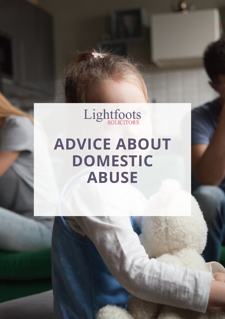

## **ADVICE ABOUT DOMESTIC ABUSE**